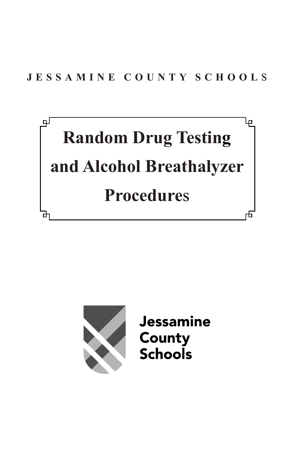



**Jessamine County Schools**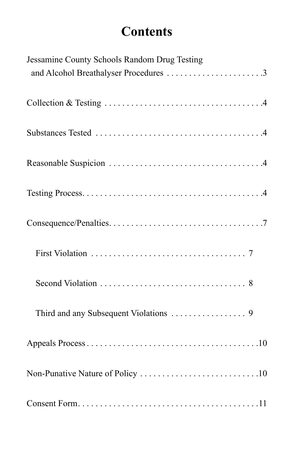# **Contents**

| Jessamine County Schools Random Drug Testing<br>and Alcohol Breathalyser Procedures 3 |
|---------------------------------------------------------------------------------------|
|                                                                                       |
|                                                                                       |
|                                                                                       |
|                                                                                       |
|                                                                                       |
|                                                                                       |
|                                                                                       |
|                                                                                       |
|                                                                                       |
|                                                                                       |
|                                                                                       |
|                                                                                       |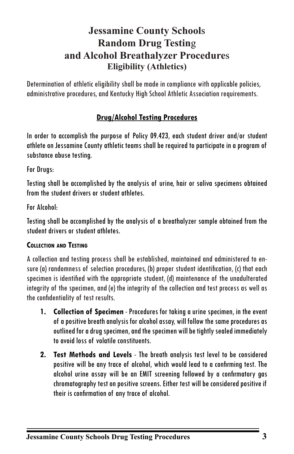## **Jessamine County School**s **Random Drug Testin**g **and Alcohol Breathalyzer Procedure**s **Eligibility (Athletics)**

Determination of athletic eligibility shall be made in compliance with applicable policies, administrative procedures, and Kentucky High School Athletic Association requirements.

## **Drug/Alcohol Testing Procedures**

In order to accomplish the purpose of Policy 09.423, each student driver and/or student athlete on Jessamine County athletic teams shall be required to participate in a program of substance abuse testing.

For Drugs:

Testing shall be accomplished by the analysis of urine, hair or saliva specimens obtained from the student drivers or student athletes.

For Alcohol:

Testing shall be accomplished by the analysis of a breathalyzer sample obtained from the student drivers or student athletes.

#### **Collection and Testing**

A collection and testing process shall be established, maintained and administered to ensure (a) randomness of selection procedures, (b) proper student identification, (c) that each specimen is identified with the appropriate student, (d) maintenance of the unadulterated integrity of the specimen, and (e) the integrity of the collection and test process as well as the confidentiality of test results.

- **1. Collection of Specimen** Procedures for taking a urine specimen, in the event of a positive breath analysis for alcohol assay, will follow the same procedures as outlined for a drug specimen, and the specimen will be tightly sealed immediately to avoid loss of volatile constituents.
- **2. Test Methods and Levels** The breath analysis test level to be considered positive will be any trace of alcohol, which would lead to a confirming test. The alcohol urine assay will be an EMIT screening followed by a confirmatory gas chromatography test on positive screens. Either test will be considered positive if their is confirmation of any trace of alcohol.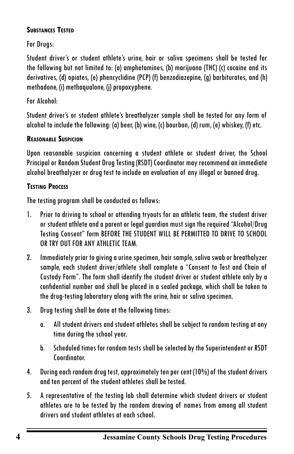#### **Substances Tested**

For Drugs:

Student driver's or student athlete's urine, hair or saliva specimens shall be tested for the following but not limited to: (a) amphetamines, (b) marijuana (THC) (c) cocaine and its derivatives, (d) opiates, (e) phencyclidine (PCP) (f) benzodiazepine, (g) barbiturates, and (h) methadone, (i) methaqualone, (j) propoxyphene.

## For Alcohol:

Student driver's or student athlete's breathalyzer sample shall be tested for any form of alcohol to include the following: (a) beer, (b) wine, (c) bourbon, (d) rum, (e) whiskey, (f) etc.

## **Reasonable Suspicion**

Upon reasonable suspicion concerning a student athlete or student driver, the School Principal or Random Student Drug Testing (RSDT) Coordinator may recommend an immediate alcohol breathalyzer or drug test to include an evaluation of any illegal or banned drug.

## **Testing Process**

The testing program shall be conducted as follows:

- 1. Prior to driving to school or attending tryouts for an athletic team, the student driver or student athlete and a parent or legal guardian must sign the required "Alcohol/Drug Testing Consent" form BEFORE THE STUDENT WILL BE PERMITTED TO DRIVE TO SCHOOL OR TRY OUT FOR ANY ATHLETIC TEAM.
- 2. Immediately prior to giving a urine specimen, hair sample, saliva swab or breathalyzer sample, each student driver/athlete shall complete a "Consent to Test and Chain of Custody Form". The form shall identify the student driver or student athlete only by a confidential number and shall be placed in a sealed package, which shall be taken to the drug-testing laboratory along with the urine, hair or saliva specimen.
- 3. Drug testing shall be done at the following times:
	- a. All student drivers and student athletes shall be subject to random testing at any time during the school year.
	- b. Scheduled times for random tests shall be selected by the Superintendent or RSDT Coordinator.
- 4. During each random drug test, approximately ten per cent (10%) of the student drivers and ten percent of the student athletes shall be tested.
- 5. A representative of the testing lab shall determine which student drivers or student athletes are to be tested by the random drawing of names from among all student drivers and student athletes at each school.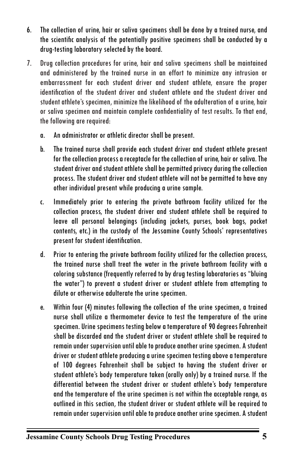- 6. The collection of urine, hair or saliva specimens shall be done by a trained nurse, and the scientific analysis of the potentially positive specimens shall be conducted by a drug-testing laboratory selected by the board.
- 7. Drug collection procedures for urine, hair and saliva specimens shall be maintained and administered by the trained nurse in an effort to minimize any intrusion or embarrassment for each student driver and student athlete, ensure the proper identification of the student driver and student athlete and the student driver and student athlete's specimen, minimize the likelihood of the adulteration of a urine, hair or saliva specimen and maintain complete confidentiality of test results. To that end, the following are required:
	- a. An administrator or athletic director shall be present.
	- b. The trained nurse shall provide each student driver and student athlete present for the collection process a receptacle for the collection of urine, hair or saliva. The student driver and student athlete shall be permitted privacy during the collection process. The student driver and student athlete will not be permitted to have any other individual present while producing a urine sample.
	- c. Immediately prior to entering the private bathroom facility utilized for the collection process, the student driver and student athlete shall be required to leave all personal belongings (including jackets, purses, book bags, pocket contents, etc.) in the custody of the Jessamine County Schools' representatives present for student identification.
	- d. Prior to entering the private bathroom facility utilized for the collection process, the trained nurse shall treat the water in the private bathroom facility with a coloring substance (frequently referred to by drug testing laboratories as "bluing the water") to prevent a student driver or student athlete from attempting to dilute or otherwise adulterate the urine specimen.
	- e. Within four (4) minutes following the collection of the urine specimen, a trained nurse shall utilize a thermometer device to test the temperature of the urine specimen. Urine specimens testing below a temperature of 90 degrees Fahrenheit shall be discarded and the student driver or student athlete shall be required to remain under supervision until able to produce another urine specimen. A student driver or student athlete producing a urine specimen testing above a temperature of 100 degrees Fahrenheit shall be subject to having the student driver or student athlete's body temperature taken (orally only) by a trained nurse. If the differential between the student driver or student athlete's body temperature and the temperature of the urine specimen is not within the acceptable range, as outlined in this section, the student driver or student athlete will be required to remain under supervision until able to produce another urine specimen. A student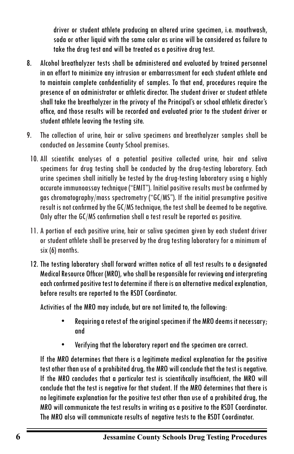driver or student athlete producing an altered urine specimen, i.e. mouthwash, soda or other liquid with the same color as urine will be considered as failure to take the drug test and will be treated as a positive drug test.

- 8. Alcohol breathalyzer tests shall be administered and evaluated by trained personnel in an effort to minimize any intrusion or embarrassment for each student athlete and to maintain complete confidentiality of samples. To that end, procedures require the presence of an administrator or athletic director. The student driver or student athlete shall take the breathalyzer in the privacy of the Principal's or school athletic director's office, and those results will be recorded and evaluated prior to the student driver or student athlete leaving the testing site.
- 9. The collection of urine, hair or saliva specimens and breathalyzer samples shall be conducted on Jessamine County School premises.
	- 10. All scientific analyses of a potential positive collected urine, hair and saliva specimens for drug testing shall be conducted by the drug-testing laboratory. Each urine specimen shall initially be tested by the drug-testing laboratory using a highly accurate immunoassay technique ("EMIT"). Initial positive results must be confirmed by gas chromatography/mass spectrometry ("GC/MS"). If the initial presumptive positive result is not confirmed by the GC/MS technique, the test shall be deemed to be negative. Only after the GC/MS confirmation shall a test result be reported as positive.
	- 11. A portion of each positive urine, hair or saliva specimen given by each student driver or student athlete shall be preserved by the drug testing laboratory for a minimum of six (6) months.
	- 12. The testing laboratory shall forward written notice of all test results to a designated Medical Resource Officer (MRO), who shall be responsible for reviewing and interpreting each confirmed positive test to determine if there is an alternative medical explanation, before results are reported to the RSDT Coordinator.

Activities of the MRO may include, but are not limited to, the following:

- Requiring a retest of the original specimen if the MRO deems it necessary; and
- Verifying that the laboratory report and the specimen are correct.

If the MRO determines that there is a legitimate medical explanation for the positive test other than use of a prohibited drug, the MRO will conclude that the test is negative. If the MRO concludes that a particular test is scientifically insufficient, the MRO will conclude that the test is negative for that student. If the MRO determines that there is no legitimate explanation for the positive test other than use of a prohibited drug, the MRO will communicate the test results in writing as a positive to the RSDT Coordinator. The MRO also will communicate results of negative tests to the RSDT Coordinator.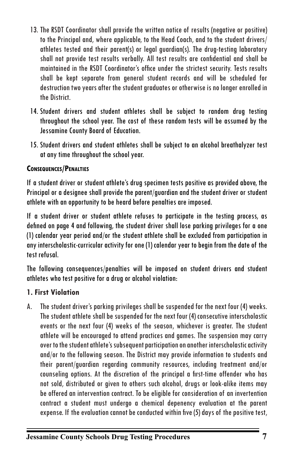- 13. The RSDT Coordinator shall provide the written notice of results (negative or positive) to the Principal and, where applicable, to the Head Coach, and to the student drivers/ athletes tested and their parent(s) or legal guardian(s). The drug-testing laboratory shall not provide test results verbally. All test results are confidential and shall be maintained in the RSDT Coordinator's office under the strictest security. Tests results shall be kept separate from general student records and will be scheduled for destruction two years after the student graduates or otherwise is no longer enrolled in the District.
- 14. Student drivers and student athletes shall be subject to random drug testing throughout the school year. The cost of these random tests will be assumed by the Jessamine County Board of Education.
- 15. Student drivers and student athletes shall be subject to an alcohol breathalyzer test at any time throughout the school year.

#### **Consequences/Penalties**

If a student driver or student athlete's drug specimen tests positive as provided above, the Principal or a designee shall provide the parent/guardian and the student driver or student athlete with an opportunity to be heard before penalties are imposed.

If a student driver or student athlete refuses to participate in the testing process, as defined on page 4 and following, the student driver shall lose parking privileges for a one (1) calendar year period and/or the student athlete shall be excluded from participation in any interscholastic-curricular activity for one (1) calendar year to begin from the date of the test refusal.

The following consequences/penalties will be imposed on student drivers and student athletes who test positive for a drug or alcohol violation:

#### **1. First Violation**

A. The student driver's parking privileges shall be suspended for the next four (4) weeks. The student athlete shall be suspended for the next four (4) consecutive interscholastic events or the next four (4) weeks of the season, whichever is greater. The student athlete will be encouraged to attend practices and games. The suspension may carry over to the student athlete's subsequent participation on another interscholastic activity and/or to the following season. The District may provide information to students and their parent/guardian regarding community resources, including treatment and/or counseling options. At the discretion of the principal a first-time offender who has not sold, distributed or given to others such alcohol, drugs or look-alike items may be offered an intervention contract. To be eligible for consideration of an invertention contract a student must undergo a chemical depenency evaluation at the parent expense. If the evaluation cannot be conducted within five (5) days of the positive test,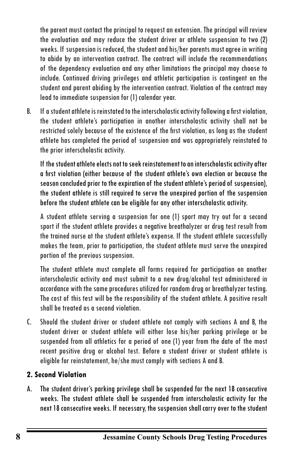the parent must contact the principal to request an extension. The principal will review the evaluation and may reduce the student driver or athlete suspension to two (2) weeks. If suspension is reduced, the student and his/her parents must agree in writing to abide by an intervention contract. The contract will include the recommendations of the dependency evaluation and any other limitations the principal may choose to include. Continued driving privileges and athletic participation is contingent on the student and parent abiding by the intervention contract. Violation of the contract may lead to immediate suspension for (1) calendar year.

B. If a student athlete is reinstated to the interscholastic activity following a first violation, the student athlete's participation in another interscholastic activity shall not be restricted solely because of the existence of the first violation, as long as the student athlete has completed the period of suspension and was appropriately reinstated to the prior interscholastic activity.

If the student athlete elects not to seek reinstatement to an interscholastic activity after a first violation (either because of the student athlete's own election or because the season concluded prior to the expiration of the student athlete's period of suspension), the student athlete is still required to serve the unexpired portion of the suspension before the student athlete can be eligible for any other interscholastic activity.

A student athlete serving a suspension for one (1) sport may try out for a second sport if the student athlete provides a negative breathalyzer or drug test result from the trained nurse at the student athlete's expense. If the student athlete successfully makes the team, prior to participation, the student athlete must serve the unexpired portion of the previous suspension.

The student athlete must complete all forms required for participation on another interscholastic activity and must submit to a new drug/alcohol test administered in accordance with the same procedures utilized for random drug or breathalyzer testing. The cost of this test will be the responsibility of the student athlete. A positive result shall be treated as a second violation.

C. Should the student driver or student athlete not comply with sections A and B, the student driver or student athlete will either lose his/her parking privilege or be suspended from all athletics for a period of one (1) year from the date of the most recent positive drug or alcohol test. Before a student driver or student athlete is eligible for reinstatement, he/she must comply with sections A and B.

## **2. Second Violation**

A. The student driver's parking privilege shall be suspended for the next 18 consecutive weeks. The student athlete shall be suspended from interscholastic activity for the next 18 consecutive weeks. If necessary, the suspension shall carry over to the student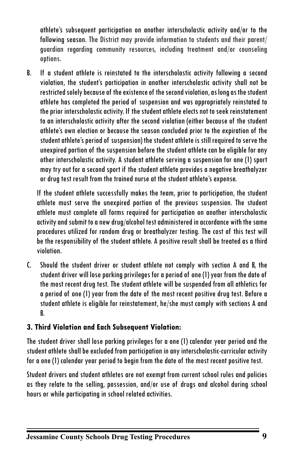athlete's subsequent participation on another interscholastic activity and/or to the following season. The District may provide information to students and their parent/ guardian regarding community resources, including treatment and/or counseling options.

B. If a student athlete is reinstated to the interscholastic activity following a second violation, the student's participation in another interscholastic activity shall not be restricted solely because of the existence of the second violation, as long as the student athlete has completed the period of suspension and was appropriately reinstated to the prior interscholastic activity. If the student athlete elects not to seek reinstatement to an interscholastic activity after the second violation (either because of the student athlete's own election or because the season concluded prior to the expiration of the student athlete's period of suspension) the student athlete is still required to serve the unexpired portion of the suspension before the student athlete can be eligible for any other interscholastic activity. A student athlete serving a suspension for one (1) sport may try out for a second sport if the student athlete provides a negative breathalyzer or drug test result from the trained nurse at the student athlete's expense.

If the student athlete successfully makes the team, prior to participation, the student athlete must serve the unexpired portion of the previous suspension. The student athlete must complete all forms required for participation on another interscholastic activity and submit to a new drug/alcohol test administered in accordance with the same procedures utilized for random drug or breathalyzer testing. The cost of this test will be the responsibility of the student athlete. A positive result shall be treated as a third violation.

C. Should the student driver or student athlete not comply with section A and B, the student driver will lose parking privileges for a period of one (1) year from the date of the most recent drug test. The student athlete will be suspended from all athletics for a period of one (1) year from the date of the most recent positive drug test. Before a student athlete is eligible for reinstatement, he/she must comply with sections A and B.

## **3. Third Violation and Each Subsequent Violation:**

The student driver shall lose parking privileges for a one (1) calendar year period and the student athlete shall be excluded from participation in any interscholastic-curricular activity for a one (1) calendar year period to begin from the date of the most recent positive test.

Student drivers and student athletes are not exempt from current school rules and policies as they relate to the selling, possession, and/or use of drugs and alcohol during school hours or while participating in school related activities.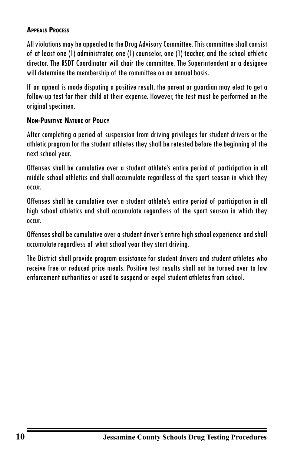#### **Appeals Process**

All violations may be appealed to the Drug Advisory Committee. This committee shall consist of at least one (1) administrator, one (1) counselor, one (1) teacher, and the school athletic director. The RSDT Coordinator will chair the committee. The Superintendent or a designee will determine the membership of the committee on an annual basis.

If an appeal is made disputing a positive result, the parent or guardian may elect to get a follow-up test for their child at their expense. However, the test must be performed on the original specimen.

#### **Non-Punitive Nature of Policy**

After completing a period of suspension from driving privileges for student drivers or the athletic program for the student athletes they shall be retested before the beginning of the next school year.

Offenses shall be cumulative over a student athlete's entire period of participation in all middle school athletics and shall accumulate regardless of the sport season in which they occur.

Offenses shall be cumulative over a student athlete's entire period of participation in all high school athletics and shall accumulate regardless of the sport season in which they occur.

Offenses shall be cumulative over a student driver's entire high school experience and shall accumulate regardless of what school year they start driving.

The District shall provide program assistance for student drivers and student athletes who receive free or reduced price meals. Positive test results shall not be turned over to law enforcement authorities or used to suspend or expel student athletes from school.